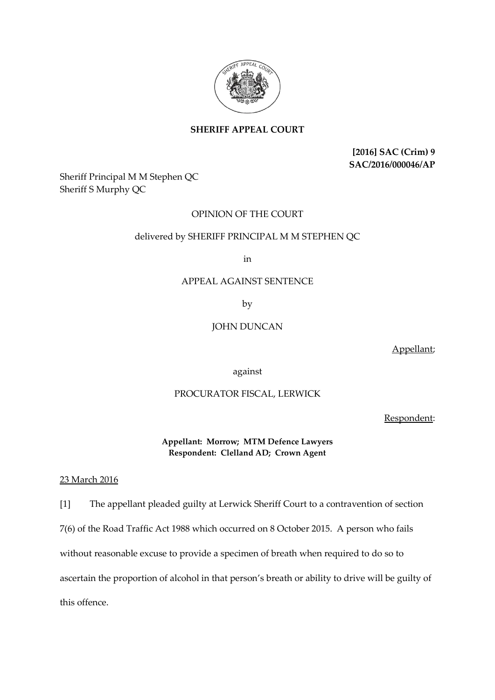

# **SHERIFF APPEAL COURT**

**[2016] SAC (Crim) 9 SAC/2016/000046/AP**

Sheriff Principal M M Stephen QC Sheriff S Murphy QC

## OPINION OF THE COURT

#### delivered by SHERIFF PRINCIPAL M M STEPHEN QC

in

### APPEAL AGAINST SENTENCE

by

## JOHN DUNCAN

Appellant;

#### against

#### PROCURATOR FISCAL, LERWICK

Respondent:

**Appellant: Morrow; MTM Defence Lawyers Respondent: Clelland AD; Crown Agent**

23 March 2016

[1] The appellant pleaded guilty at Lerwick Sheriff Court to a contravention of section

7(6) of the Road Traffic Act 1988 which occurred on 8 October 2015. A person who fails

without reasonable excuse to provide a specimen of breath when required to do so to

ascertain the proportion of alcohol in that person's breath or ability to drive will be guilty of

this offence.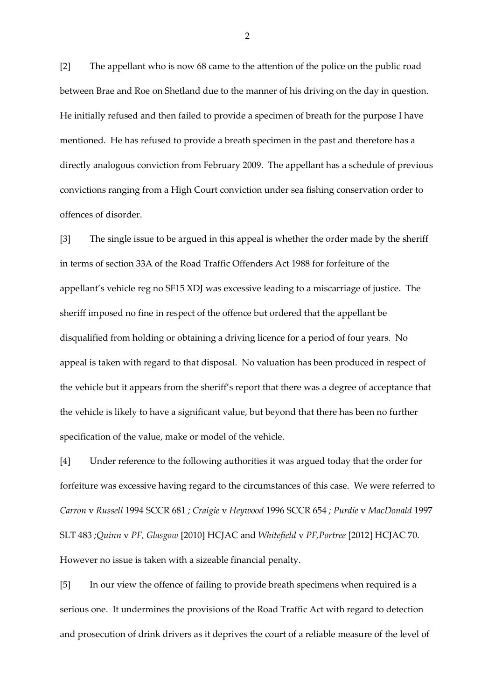[2] The appellant who is now 68 came to the attention of the police on the public road between Brae and Roe on Shetland due to the manner of his driving on the day in question. He initially refused and then failed to provide a specimen of breath for the purpose I have mentioned. He has refused to provide a breath specimen in the past and therefore has a directly analogous conviction from February 2009. The appellant has a schedule of previous convictions ranging from a High Court conviction under sea fishing conservation order to offences of disorder.

[3] The single issue to be argued in this appeal is whether the order made by the sheriff in terms of section 33A of the Road Traffic Offenders Act 1988 for forfeiture of the appellant's vehicle reg no SF15 XDJ was excessive leading to a miscarriage of justice. The sheriff imposed no fine in respect of the offence but ordered that the appellant be disqualified from holding or obtaining a driving licence for a period of four years. No appeal is taken with regard to that disposal. No valuation has been produced in respect of the vehicle but it appears from the sheriff's report that there was a degree of acceptance that the vehicle is likely to have a significant value, but beyond that there has been no further specification of the value, make or model of the vehicle.

[4] Under reference to the following authorities it was argued today that the order for forfeiture was excessive having regard to the circumstances of this case. We were referred to *Carron* v *Russell* 1994 SCCR 681 *; Craigie* v *Heywood* 1996 SCCR 654 *; Purdie* v *MacDonald* 1997 SLT 483 *;Quinn* v *PF, Glasgow* [2010] HCJAC and *Whitefield* v *PF,Portree* [2012] HCJAC 70. However no issue is taken with a sizeable financial penalty.

[5] In our view the offence of failing to provide breath specimens when required is a serious one. It undermines the provisions of the Road Traffic Act with regard to detection and prosecution of drink drivers as it deprives the court of a reliable measure of the level of

2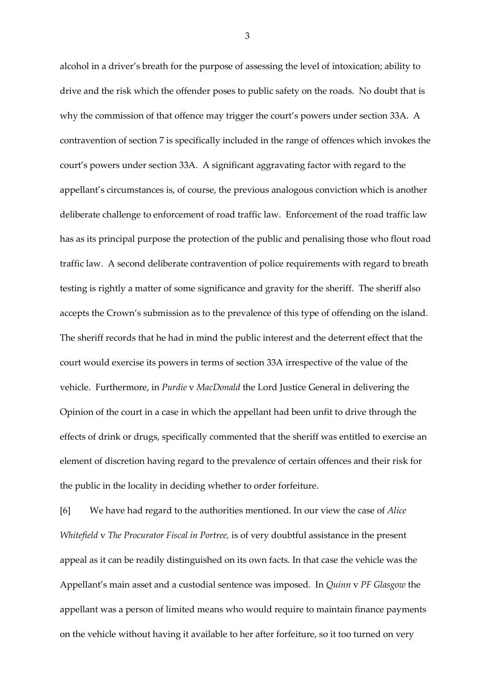alcohol in a driver's breath for the purpose of assessing the level of intoxication; ability to drive and the risk which the offender poses to public safety on the roads. No doubt that is why the commission of that offence may trigger the court's powers under section 33A. A contravention of section 7 is specifically included in the range of offences which invokes the court's powers under section 33A. A significant aggravating factor with regard to the appellant's circumstances is, of course, the previous analogous conviction which is another deliberate challenge to enforcement of road traffic law. Enforcement of the road traffic law has as its principal purpose the protection of the public and penalising those who flout road traffic law. A second deliberate contravention of police requirements with regard to breath testing is rightly a matter of some significance and gravity for the sheriff. The sheriff also accepts the Crown's submission as to the prevalence of this type of offending on the island. The sheriff records that he had in mind the public interest and the deterrent effect that the court would exercise its powers in terms of section 33A irrespective of the value of the vehicle. Furthermore, in *Purdie* v *MacDonald* the Lord Justice General in delivering the Opinion of the court in a case in which the appellant had been unfit to drive through the effects of drink or drugs, specifically commented that the sheriff was entitled to exercise an element of discretion having regard to the prevalence of certain offences and their risk for the public in the locality in deciding whether to order forfeiture.

[6] We have had regard to the authorities mentioned. In our view the case of *Alice Whitefield* v *The Procurator Fiscal in Portree,* is of very doubtful assistance in the present appeal as it can be readily distinguished on its own facts. In that case the vehicle was the Appellant's main asset and a custodial sentence was imposed. In *Quinn* v *PF Glasgow* the appellant was a person of limited means who would require to maintain finance payments on the vehicle without having it available to her after forfeiture, so it too turned on very

3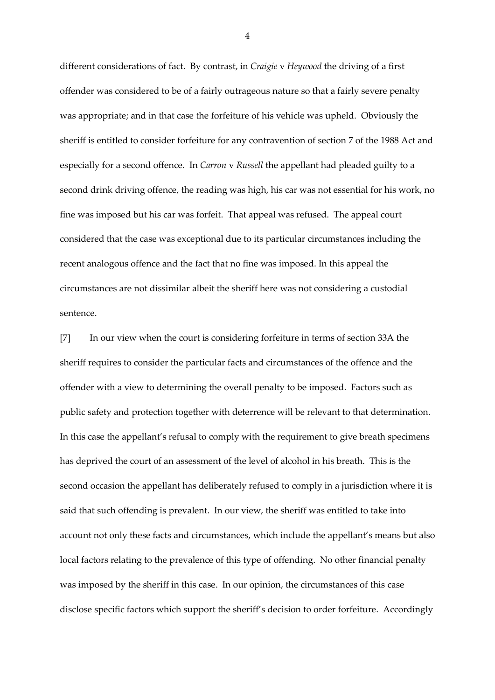different considerations of fact. By contrast, in *Craigie* v *Heywood* the driving of a first offender was considered to be of a fairly outrageous nature so that a fairly severe penalty was appropriate; and in that case the forfeiture of his vehicle was upheld. Obviously the sheriff is entitled to consider forfeiture for any contravention of section 7 of the 1988 Act and especially for a second offence. In *Carron* v *Russell* the appellant had pleaded guilty to a second drink driving offence, the reading was high, his car was not essential for his work, no fine was imposed but his car was forfeit. That appeal was refused. The appeal court considered that the case was exceptional due to its particular circumstances including the recent analogous offence and the fact that no fine was imposed. In this appeal the circumstances are not dissimilar albeit the sheriff here was not considering a custodial sentence.

[7] In our view when the court is considering forfeiture in terms of section 33A the sheriff requires to consider the particular facts and circumstances of the offence and the offender with a view to determining the overall penalty to be imposed. Factors such as public safety and protection together with deterrence will be relevant to that determination. In this case the appellant's refusal to comply with the requirement to give breath specimens has deprived the court of an assessment of the level of alcohol in his breath. This is the second occasion the appellant has deliberately refused to comply in a jurisdiction where it is said that such offending is prevalent. In our view, the sheriff was entitled to take into account not only these facts and circumstances, which include the appellant's means but also local factors relating to the prevalence of this type of offending. No other financial penalty was imposed by the sheriff in this case. In our opinion, the circumstances of this case disclose specific factors which support the sheriff's decision to order forfeiture. Accordingly

4